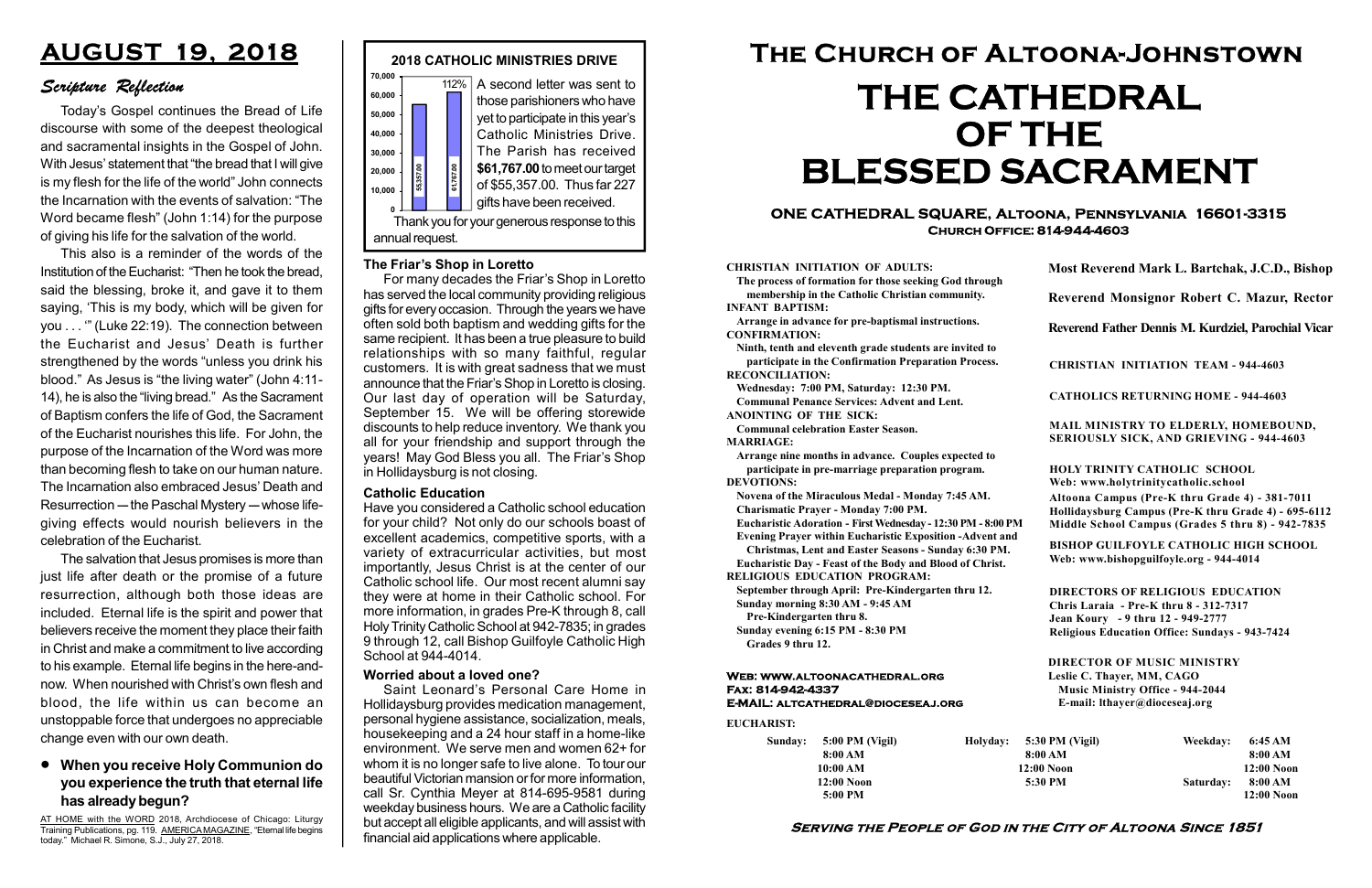#### Serving the People of God in the City of Altoona Since 1851

Sunday: 5:00 PM (Vigil) 8:00 AM 10:00 AM 12:00 Noon 5:00 PM

Holyday:

#### Web: www.altoonacathedral.org Fax: 814-942-4337 E-MAIL: altcathedral@dioceseaj.org

EUCHARIST:

#### CHRISTIAN INITIATION OF ADULTS:

The process of formation for those seeking God through membership in the Catholic Christian community. INFANT BAPTISM:

Arrange in advance for pre-baptismal instructions. CONFIRMATION:

Ninth, tenth and eleventh grade students are invited to participate in the Confirmation Preparation Process. RECONCILIATION:

Wednesday: 7:00 PM, Saturday: 12:30 PM. Communal Penance Services: Advent and Lent.

ANOINTING OF THE SICK:

Communal celebration Easter Season. MARRIAGE:

Arrange nine months in advance. Couples expected to participate in pre-marriage preparation program. DEVOTIONS:

Novena of the Miraculous Medal - Monday 7:45 AM.

Charismatic Prayer - Monday 7:00 PM.

Eucharistic Adoration - First Wednesday - 12:30 PM - 8:00 PM

Evening Prayer within Eucharistic Exposition -Advent and Christmas, Lent and Easter Seasons - Sunday 6:30 PM.

|                         | Most Reverend Mark L. Bartchak, J.C.D., Bishop<br>Reverend Monsignor Robert C. Mazur, Rector                                                                                    |           |                         |
|-------------------------|---------------------------------------------------------------------------------------------------------------------------------------------------------------------------------|-----------|-------------------------|
|                         |                                                                                                                                                                                 |           |                         |
|                         | Reverend Father Dennis M. Kurdziel, Parochial Vicar                                                                                                                             |           |                         |
|                         | <b>CHRISTIAN INITIATION TEAM - 944-4603</b>                                                                                                                                     |           |                         |
|                         | <b>CATHOLICS RETURNING HOME - 944-4603</b>                                                                                                                                      |           |                         |
|                         | MAIL MINISTRY TO ELDERLY, HOMEBOUND,<br><b>SERIOUSLY SICK, AND GRIEVING - 944-4603</b>                                                                                          |           |                         |
|                         | <b>HOLY TRINITY CATHOLIC SCHOOL</b><br>Web: www.holytrinitycatholic.school                                                                                                      |           |                         |
| М                       | Altoona Campus (Pre-K thru Grade 4) - 381-7011<br>Hollidaysburg Campus (Pre-K thru Grade 4) - 695-6112<br>Middle School Campus (Grades 5 thru 8) - 942-7835                     |           |                         |
| ł                       | <b>BISHOP GUILFOYLE CATHOLIC HIGH SCHOOL</b><br>Web: www.bishopguilfoyle.org - 944-4014                                                                                         |           |                         |
|                         | <b>DIRECTORS OF RELIGIOUS EDUCATION</b><br>Chris Laraia - Pre-K thru 8 - 312-7317<br>Jean Koury - 9 thru 12 - 949-2777<br><b>Religious Education Office: Sundays - 943-7424</b> |           |                         |
|                         | <b>DIRECTOR OF MUSIC MINISTRY</b><br>Leslie C. Thayer, MM, CAGO<br><b>Music Ministry Office - 944-2044</b><br>E-mail: lthayer@dioceseaj.org                                     |           |                         |
| 5:30 PM (Vigil)         |                                                                                                                                                                                 | Weekday:  | 6:45 AM                 |
| 8:00 AM<br>$12:00$ Noon |                                                                                                                                                                                 |           | 8:00 AM<br>12:00 Noon   |
|                         | 5:30 PM                                                                                                                                                                         | Saturday: | 8:00 AM<br>$12:00$ Noon |
|                         |                                                                                                                                                                                 |           |                         |

Eucharistic Day - Feast of the Body and Blood of Christ.

RELIGIOUS EDUCATION PROGRAM:

September through April: Pre-Kindergarten thru 12. Sunday morning 8:30 AM - 9:45 AM



Pre-Kindergarten thru 8.

Sunday evening 6:15 PM - 8:30 PM Grades 9 thru 12.

#### ONE CATHEDRAL SQUARE, Altoona, Pennsylvania 16601-3315 Church Office: 814-944-4603

# The Church of Altoona-Johnstown THE CATHEDRAL OF THE BLESSED SACRAMENT

AT HOME with the WORD 2018, Archdiocese of Chicago: Liturgy Training Publications, pg. 119. AMERICA MAGAZINE, "Eternal life begins today." Michael R. Simone, S.J., July 27, 2018.

#### Catholic Education

Have you considered a Catholic school education for your child? Not only do our schools boast of excellent academics, competitive sports, with a variety of extracurricular activities, but most importantly, Jesus Christ is at the center of our Catholic school life. Our most recent alumni say they were at home in their Catholic school. For more information, in grades Pre-K through 8, call Holy Trinity Catholic School at 942-7835; in grades 9 through 12, call Bishop Guilfoyle Catholic High School at 944-4014.

## AUGUST 19, 2018

### Scripture Reflection

#### When you receive Holy Communion do you experience the truth that eternal life has already begun?

Today's Gospel continues the Bread of Life discourse with some of the deepest theological and sacramental insights in the Gospel of John. With Jesus' statement that "the bread that I will give is my flesh for the life of the world" John connects the Incarnation with the events of salvation: "The Word became flesh" (John 1:14) for the purpose of giving his life for the salvation of the world.

This also is a reminder of the words of the Institution of the Eucharist: "Then he took the bread, said the blessing, broke it, and gave it to them saying, 'This is my body, which will be given for you . . . '" (Luke 22:19). The connection between the Eucharist and Jesus' Death is further strengthened by the words "unless you drink his blood." As Jesus is "the living water" (John 4:11- 14), he is also the "living bread." As the Sacrament of Baptism confers the life of God, the Sacrament of the Eucharist nourishes this life. For John, the purpose of the Incarnation of the Word was more than becoming flesh to take on our human nature. The Incarnation also embraced Jesus' Death and Resurrection --- the Paschal Mystery -- whose lifegiving effects would nourish believers in the celebration of the Eucharist.

The salvation that Jesus promises is more than just life after death or the promise of a future resurrection, although both those ideas are included. Eternal life is the spirit and power that believers receive the moment they place their faith in Christ and make a commitment to live according to his example. Eternal life begins in the here-andnow. When nourished with Christ's own flesh and blood, the life within us can become an unstoppable force that undergoes no appreciable change even with our own death.

#### Worried about a loved one?

Saint Leonard's Personal Care Home in Hollidaysburg provides medication management, personal hygiene assistance, socialization, meals, housekeeping and a 24 hour staff in a home-like environment. We serve men and women 62+ for whom it is no longer safe to live alone. To tour our beautiful Victorian mansion or for more information, call Sr. Cynthia Meyer at 814-695-9581 during weekday business hours. We are a Catholic facility but accept all eligible applicants, and will assist with financial aid applications where applicable.

#### The Friar's Shop in Loretto

For many decades the Friar's Shop in Loretto has served the local community providing religious gifts for every occasion. Through the years we have often sold both baptism and wedding gifts for the same recipient. It has been a true pleasure to build relationships with so many faithful, regular customers. It is with great sadness that we must announce that the Friar's Shop in Loretto is closing. Our last day of operation will be Saturday, September 15. We will be offering storewide discounts to help reduce inventory. We thank you all for your friendship and support through the years! May God Bless you all. The Friar's Shop in Hollidaysburg is not closing.